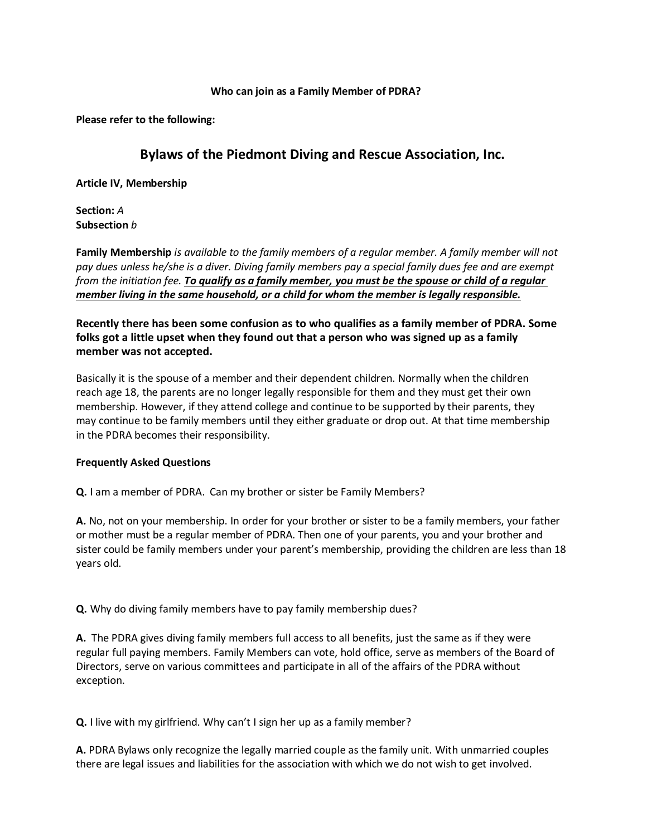## Who can join as a Family Member of PDRA?

Please refer to the following:

## Bylaws of the Piedmont Diving and Rescue Association, Inc.

Article IV, Membership

Section: A Subsection b

Family Membership is available to the family members of a regular member. A family member will not pay dues unless he/she is a diver. Diving family members pay a special family dues fee and are exempt from the initiation fee. To qualify as a family member, you must be the spouse or child of a regular member living in the same household, or a child for whom the member is legally responsible.

Recently there has been some confusion as to who qualifies as a family member of PDRA. Some folks got a little upset when they found out that a person who was signed up as a family member was not accepted.

Basically it is the spouse of a member and their dependent children. Normally when the children reach age 18, the parents are no longer legally responsible for them and they must get their own membership. However, if they attend college and continue to be supported by their parents, they may continue to be family members until they either graduate or drop out. At that time membership in the PDRA becomes their responsibility.

## Frequently Asked Questions

Q. I am a member of PDRA. Can my brother or sister be Family Members?

A. No, not on your membership. In order for your brother or sister to be a family members, your father or mother must be a regular member of PDRA. Then one of your parents, you and your brother and sister could be family members under your parent's membership, providing the children are less than 18 years old.

Q. Why do diving family members have to pay family membership dues?

A. The PDRA gives diving family members full access to all benefits, just the same as if they were regular full paying members. Family Members can vote, hold office, serve as members of the Board of Directors, serve on various committees and participate in all of the affairs of the PDRA without exception.

Q. I live with my girlfriend. Why can't I sign her up as a family member?

A. PDRA Bylaws only recognize the legally married couple as the family unit. With unmarried couples there are legal issues and liabilities for the association with which we do not wish to get involved.